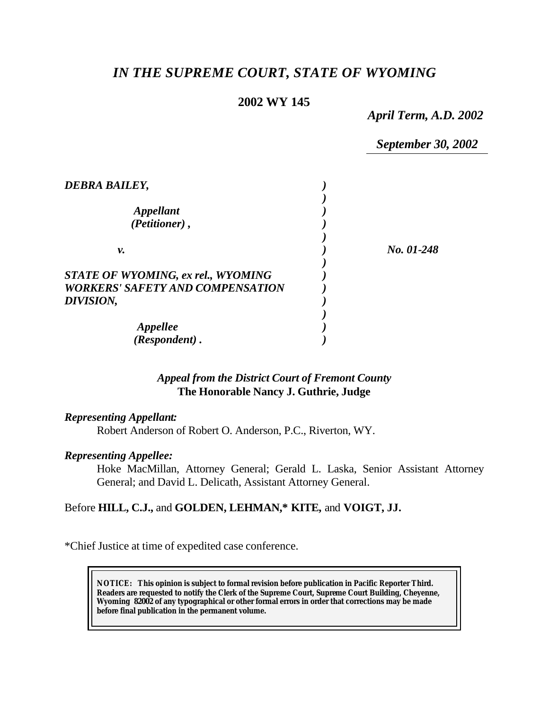# *IN THE SUPREME COURT, STATE OF WYOMING*

# **2002 WY 145**

*April Term, A.D. 2002*

*September 30, 2002*

| DEBRA BAILEY,                                                                        |            |
|--------------------------------------------------------------------------------------|------------|
| <i><b>Appellant</b></i><br>(Petitioner),                                             |            |
| ν.                                                                                   | No. 01-248 |
| <b>STATE OF WYOMING, ex rel., WYOMING</b><br><i>WORKERS' SAFETY AND COMPENSATION</i> |            |
| DIVISION,                                                                            |            |
| <i><b>Appellee</b></i><br>(Respondent).                                              |            |

# *Appeal from the District Court of Fremont County* **The Honorable Nancy J. Guthrie, Judge**

### *Representing Appellant:*

Robert Anderson of Robert O. Anderson, P.C., Riverton, WY.

### *Representing Appellee:*

Hoke MacMillan, Attorney General; Gerald L. Laska, Senior Assistant Attorney General; and David L. Delicath, Assistant Attorney General.

# Before **HILL, C.J.,** and **GOLDEN, LEHMAN,\* KITE,** and **VOIGT, JJ.**

\*Chief Justice at time of expedited case conference.

**NOTICE:** *This opinion is subject to formal revision before publication in Pacific Reporter Third. Readers are requested to notify the Clerk of the Supreme Court, Supreme Court Building, Cheyenne, Wyoming 82002 of any typographical or other formal errors in order that corrections may be made before final publication in the permanent volume.*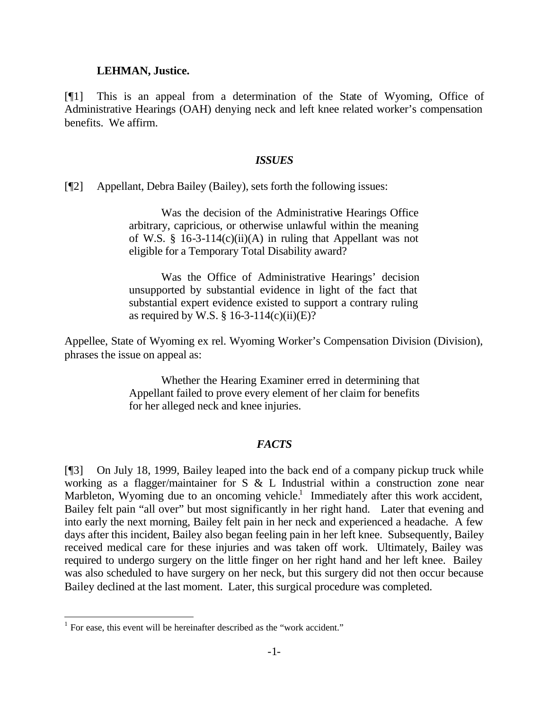#### **LEHMAN, Justice.**

[¶1] This is an appeal from a determination of the State of Wyoming, Office of Administrative Hearings (OAH) denying neck and left knee related worker's compensation benefits. We affirm.

#### *ISSUES*

[¶2] Appellant, Debra Bailey (Bailey), sets forth the following issues:

Was the decision of the Administrative Hearings Office arbitrary, capricious, or otherwise unlawful within the meaning of W.S. § 16-3-114 $(c)(ii)(A)$  in ruling that Appellant was not eligible for a Temporary Total Disability award?

Was the Office of Administrative Hearings' decision unsupported by substantial evidence in light of the fact that substantial expert evidence existed to support a contrary ruling as required by W.S.  $\S$  16-3-114(c)(ii)(E)?

Appellee, State of Wyoming ex rel. Wyoming Worker's Compensation Division (Division), phrases the issue on appeal as:

> Whether the Hearing Examiner erred in determining that Appellant failed to prove every element of her claim for benefits for her alleged neck and knee injuries.

#### *FACTS*

[¶3] On July 18, 1999, Bailey leaped into the back end of a company pickup truck while working as a flagger/maintainer for S & L Industrial within a construction zone near Marbleton, Wyoming due to an oncoming vehicle.<sup>1</sup> Immediately after this work accident, Bailey felt pain "all over" but most significantly in her right hand. Later that evening and into early the next morning, Bailey felt pain in her neck and experienced a headache. A few days after this incident, Bailey also began feeling pain in her left knee. Subsequently, Bailey received medical care for these injuries and was taken off work. Ultimately, Bailey was required to undergo surgery on the little finger on her right hand and her left knee. Bailey was also scheduled to have surgery on her neck, but this surgery did not then occur because Bailey declined at the last moment. Later, this surgical procedure was completed.

<sup>&</sup>lt;sup>1</sup> For ease, this event will be hereinafter described as the "work accident."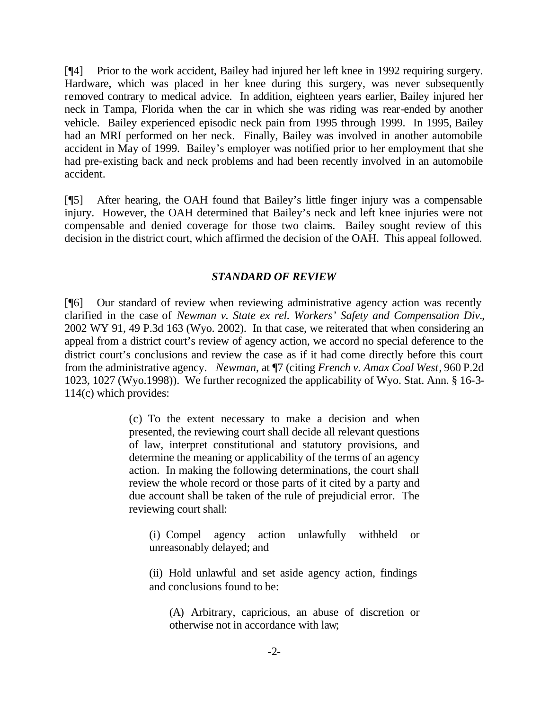[¶4] Prior to the work accident, Bailey had injured her left knee in 1992 requiring surgery. Hardware, which was placed in her knee during this surgery, was never subsequently removed contrary to medical advice. In addition, eighteen years earlier, Bailey injured her neck in Tampa, Florida when the car in which she was riding was rear-ended by another vehicle. Bailey experienced episodic neck pain from 1995 through 1999. In 1995, Bailey had an MRI performed on her neck. Finally, Bailey was involved in another automobile accident in May of 1999. Bailey's employer was notified prior to her employment that she had pre-existing back and neck problems and had been recently involved in an automobile accident.

[¶5] After hearing, the OAH found that Bailey's little finger injury was a compensable injury. However, the OAH determined that Bailey's neck and left knee injuries were not compensable and denied coverage for those two claims. Bailey sought review of this decision in the district court, which affirmed the decision of the OAH. This appeal followed.

### *STANDARD OF REVIEW*

[¶6] Our standard of review when reviewing administrative agency action was recently clarified in the case of *Newman v. State ex rel. Workers' Safety and Compensation Div.*, 2002 WY 91, 49 P.3d 163 (Wyo. 2002). In that case, we reiterated that when considering an appeal from a district court's review of agency action, we accord no special deference to the district court's conclusions and review the case as if it had come directly before this court from the administrative agency. *Newman*, at ¶7 (citing *French v. Amax Coal West*, 960 P.2d 1023, 1027 (Wyo.1998)). We further recognized the applicability of Wyo. Stat. Ann. § 16-3- 114(c) which provides:

> (c) To the extent necessary to make a decision and when presented, the reviewing court shall decide all relevant questions of law, interpret constitutional and statutory provisions, and determine the meaning or applicability of the terms of an agency action. In making the following determinations, the court shall review the whole record or those parts of it cited by a party and due account shall be taken of the rule of prejudicial error. The reviewing court shall:

(i) Compel agency action unlawfully withheld or unreasonably delayed; and

(ii) Hold unlawful and set aside agency action, findings and conclusions found to be:

(A) Arbitrary, capricious, an abuse of discretion or otherwise not in accordance with law;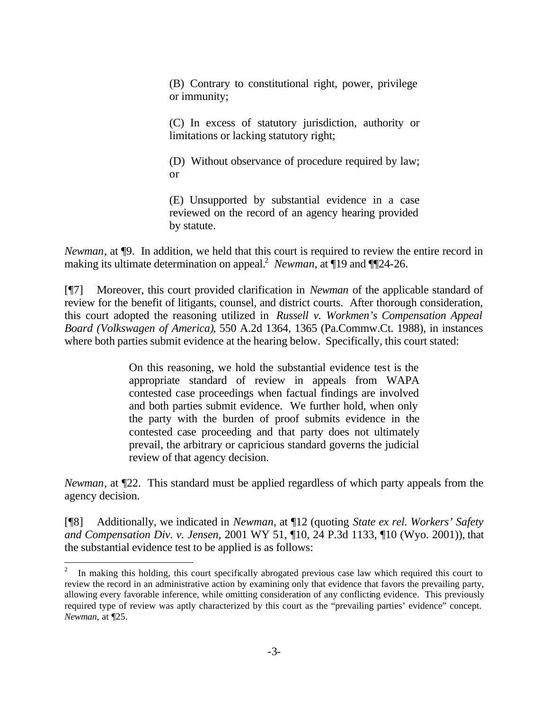(B) Contrary to constitutional right, power, privilege or immunity;

(C) In excess of statutory jurisdiction, authority or limitations or lacking statutory right;

(D) Without observance of procedure required by law; or

(E) Unsupported by substantial evidence in a case reviewed on the record of an agency hearing provided by statute.

*Newman*, at  $\phi$ . In addition, we held that this court is required to review the entire record in making its ultimate determination on appeal.<sup>2</sup> Newman, at 19 and 1124-26.

[¶7] Moreover, this court provided clarification in *Newman* of the applicable standard of review for the benefit of litigants, counsel, and district courts. After thorough consideration, this court adopted the reasoning utilized in *Russell v. Workmen's Compensation Appeal Board (Volkswagen of America)*, 550 A.2d 1364, 1365 (Pa.Commw.Ct. 1988), in instances where both parties submit evidence at the hearing below. Specifically, this court stated:

> On this reasoning, we hold the substantial evidence test is the appropriate standard of review in appeals from WAPA contested case proceedings when factual findings are involved and both parties submit evidence. We further hold, when only the party with the burden of proof submits evidence in the contested case proceeding and that party does not ultimately prevail, the arbitrary or capricious standard governs the judicial review of that agency decision.

*Newman*, at ¶22. This standard must be applied regardless of which party appeals from the agency decision.

[¶8] Additionally, we indicated in *Newman*, at ¶12 (quoting *State ex rel. Workers' Safety and Compensation Div. v. Jensen*, 2001 WY 51, ¶10, 24 P.3d 1133, ¶10 (Wyo. 2001)), that the substantial evidence test to be applied is as follows:

<sup>2</sup> In making this holding, this court specifically abrogated previous case law which required this court to review the record in an administrative action by examining only that evidence that favors the prevailing party, allowing every favorable inference, while omitting consideration of any conflicting evidence. This previously required type of review was aptly characterized by this court as the "prevailing parties' evidence" concept. *Newman*, at ¶25.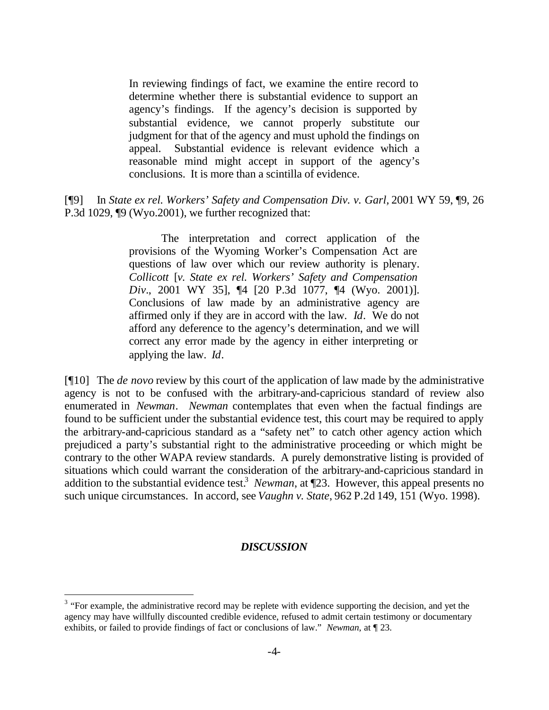In reviewing findings of fact, we examine the entire record to determine whether there is substantial evidence to support an agency's findings. If the agency's decision is supported by substantial evidence, we cannot properly substitute our judgment for that of the agency and must uphold the findings on appeal. Substantial evidence is relevant evidence which a reasonable mind might accept in support of the agency's conclusions. It is more than a scintilla of evidence.

## [¶9] In *State ex rel. Workers' Safety and Compensation Div. v. Garl,* 2001 WY 59, ¶9, 26 P.3d 1029, ¶9 (Wyo.2001), we further recognized that:

The interpretation and correct application of the provisions of the Wyoming Worker's Compensation Act are questions of law over which our review authority is plenary. *Collicott* [*v. State ex rel. Workers' Safety and Compensation Div.*, 2001 WY 35], ¶4 [20 P.3d 1077, ¶4 (Wyo. 2001)]. Conclusions of law made by an administrative agency are affirmed only if they are in accord with the law. *Id*. We do not afford any deference to the agency's determination, and we will correct any error made by the agency in either interpreting or applying the law. *Id*.

[¶10] The *de novo* review by this court of the application of law made by the administrative agency is not to be confused with the arbitrary-and-capricious standard of review also enumerated in *Newman*. *Newman* contemplates that even when the factual findings are found to be sufficient under the substantial evidence test, this court may be required to apply the arbitrary-and-capricious standard as a "safety net" to catch other agency action which prejudiced a party's substantial right to the administrative proceeding or which might be contrary to the other WAPA review standards. A purely demonstrative listing is provided of situations which could warrant the consideration of the arbitrary-and-capricious standard in addition to the substantial evidence test.<sup>3</sup> Newman, at  $\P$ 23. However, this appeal presents no such unique circumstances. In accord, see *Vaughn v. State*, 962 P.2d 149, 151 (Wyo. 1998).

### *DISCUSSION*

 $3$  "For example, the administrative record may be replete with evidence supporting the decision, and yet the agency may have willfully discounted credible evidence, refused to admit certain testimony or documentary exhibits, or failed to provide findings of fact or conclusions of law." *Newman*, at ¶ 23.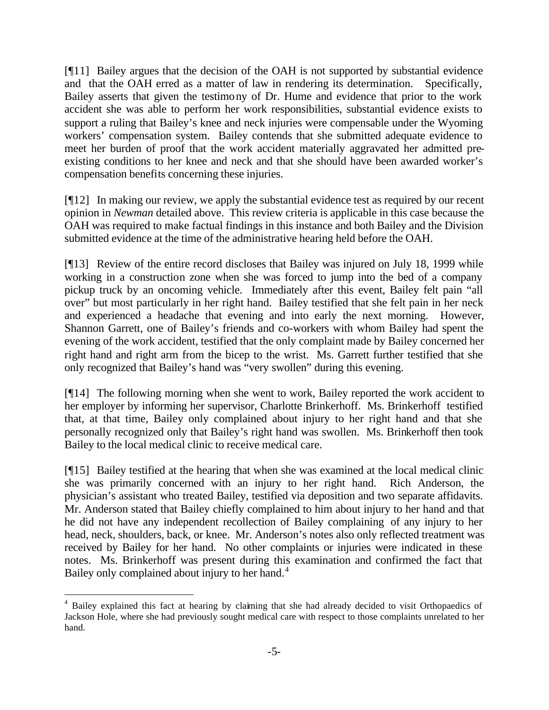[¶11] Bailey argues that the decision of the OAH is not supported by substantial evidence and that the OAH erred as a matter of law in rendering its determination. Specifically, Bailey asserts that given the testimony of Dr. Hume and evidence that prior to the work accident she was able to perform her work responsibilities, substantial evidence exists to support a ruling that Bailey's knee and neck injuries were compensable under the Wyoming workers' compensation system. Bailey contends that she submitted adequate evidence to meet her burden of proof that the work accident materially aggravated her admitted preexisting conditions to her knee and neck and that she should have been awarded worker's compensation benefits concerning these injuries.

[¶12] In making our review, we apply the substantial evidence test as required by our recent opinion in *Newman* detailed above. This review criteria is applicable in this case because the OAH was required to make factual findings in this instance and both Bailey and the Division submitted evidence at the time of the administrative hearing held before the OAH.

[¶13] Review of the entire record discloses that Bailey was injured on July 18, 1999 while working in a construction zone when she was forced to jump into the bed of a company pickup truck by an oncoming vehicle. Immediately after this event, Bailey felt pain "all over" but most particularly in her right hand. Bailey testified that she felt pain in her neck and experienced a headache that evening and into early the next morning. However, Shannon Garrett, one of Bailey's friends and co-workers with whom Bailey had spent the evening of the work accident, testified that the only complaint made by Bailey concerned her right hand and right arm from the bicep to the wrist. Ms. Garrett further testified that she only recognized that Bailey's hand was "very swollen" during this evening.

[¶14] The following morning when she went to work, Bailey reported the work accident to her employer by informing her supervisor, Charlotte Brinkerhoff. Ms. Brinkerhoff testified that, at that time, Bailey only complained about injury to her right hand and that she personally recognized only that Bailey's right hand was swollen. Ms. Brinkerhoff then took Bailey to the local medical clinic to receive medical care.

[¶15] Bailey testified at the hearing that when she was examined at the local medical clinic she was primarily concerned with an injury to her right hand. Rich Anderson, the physician's assistant who treated Bailey, testified via deposition and two separate affidavits. Mr. Anderson stated that Bailey chiefly complained to him about injury to her hand and that he did not have any independent recollection of Bailey complaining of any injury to her head, neck, shoulders, back, or knee. Mr. Anderson's notes also only reflected treatment was received by Bailey for her hand. No other complaints or injuries were indicated in these notes. Ms. Brinkerhoff was present during this examination and confirmed the fact that Bailey only complained about injury to her hand.<sup>4</sup>

<sup>&</sup>lt;sup>4</sup> Bailey explained this fact at hearing by claiming that she had already decided to visit Orthopaedics of Jackson Hole, where she had previously sought medical care with respect to those complaints unrelated to her hand.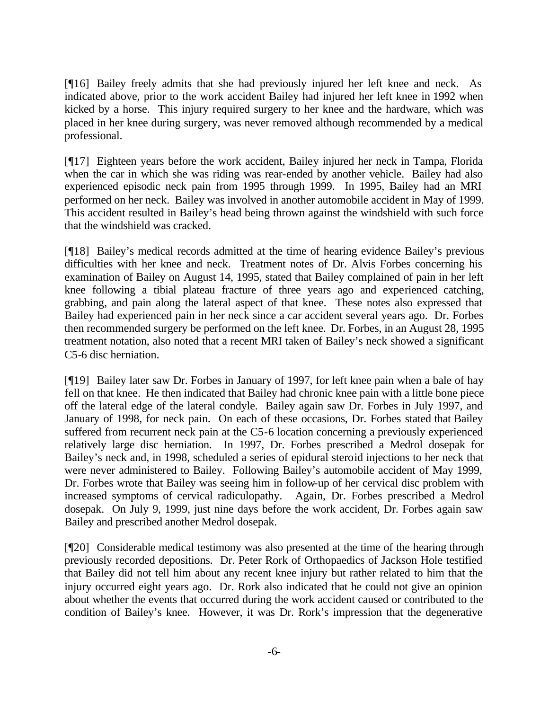[¶16] Bailey freely admits that she had previously injured her left knee and neck. As indicated above, prior to the work accident Bailey had injured her left knee in 1992 when kicked by a horse. This injury required surgery to her knee and the hardware, which was placed in her knee during surgery, was never removed although recommended by a medical professional.

[¶17] Eighteen years before the work accident, Bailey injured her neck in Tampa, Florida when the car in which she was riding was rear-ended by another vehicle. Bailey had also experienced episodic neck pain from 1995 through 1999. In 1995, Bailey had an MRI performed on her neck. Bailey was involved in another automobile accident in May of 1999. This accident resulted in Bailey's head being thrown against the windshield with such force that the windshield was cracked.

[¶18] Bailey's medical records admitted at the time of hearing evidence Bailey's previous difficulties with her knee and neck. Treatment notes of Dr. Alvis Forbes concerning his examination of Bailey on August 14, 1995, stated that Bailey complained of pain in her left knee following a tibial plateau fracture of three years ago and experienced catching, grabbing, and pain along the lateral aspect of that knee. These notes also expressed that Bailey had experienced pain in her neck since a car accident several years ago. Dr. Forbes then recommended surgery be performed on the left knee. Dr. Forbes, in an August 28, 1995 treatment notation, also noted that a recent MRI taken of Bailey's neck showed a significant C5-6 disc herniation.

[¶19] Bailey later saw Dr. Forbes in January of 1997, for left knee pain when a bale of hay fell on that knee. He then indicated that Bailey had chronic knee pain with a little bone piece off the lateral edge of the lateral condyle. Bailey again saw Dr. Forbes in July 1997, and January of 1998, for neck pain. On each of these occasions, Dr. Forbes stated that Bailey suffered from recurrent neck pain at the C5-6 location concerning a previously experienced relatively large disc herniation. In 1997, Dr. Forbes prescribed a Medrol dosepak for Bailey's neck and, in 1998, scheduled a series of epidural steroid injections to her neck that were never administered to Bailey. Following Bailey's automobile accident of May 1999, Dr. Forbes wrote that Bailey was seeing him in follow-up of her cervical disc problem with increased symptoms of cervical radiculopathy. Again, Dr. Forbes prescribed a Medrol dosepak. On July 9, 1999, just nine days before the work accident, Dr. Forbes again saw Bailey and prescribed another Medrol dosepak.

[¶20] Considerable medical testimony was also presented at the time of the hearing through previously recorded depositions. Dr. Peter Rork of Orthopaedics of Jackson Hole testified that Bailey did not tell him about any recent knee injury but rather related to him that the injury occurred eight years ago. Dr. Rork also indicated that he could not give an opinion about whether the events that occurred during the work accident caused or contributed to the condition of Bailey's knee. However, it was Dr. Rork's impression that the degenerative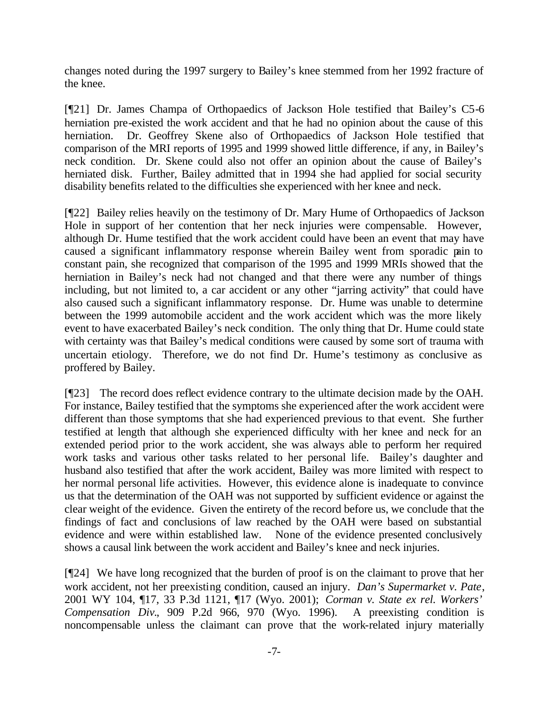changes noted during the 1997 surgery to Bailey's knee stemmed from her 1992 fracture of the knee.

[¶21] Dr. James Champa of Orthopaedics of Jackson Hole testified that Bailey's C5-6 herniation pre-existed the work accident and that he had no opinion about the cause of this herniation. Dr. Geoffrey Skene also of Orthopaedics of Jackson Hole testified that comparison of the MRI reports of 1995 and 1999 showed little difference, if any, in Bailey's neck condition. Dr. Skene could also not offer an opinion about the cause of Bailey's herniated disk. Further, Bailey admitted that in 1994 she had applied for social security disability benefits related to the difficulties she experienced with her knee and neck.

[¶22] Bailey relies heavily on the testimony of Dr. Mary Hume of Orthopaedics of Jackson Hole in support of her contention that her neck injuries were compensable. However, although Dr. Hume testified that the work accident could have been an event that may have caused a significant inflammatory response wherein Bailey went from sporadic pain to constant pain, she recognized that comparison of the 1995 and 1999 MRIs showed that the herniation in Bailey's neck had not changed and that there were any number of things including, but not limited to, a car accident or any other "jarring activity" that could have also caused such a significant inflammatory response. Dr. Hume was unable to determine between the 1999 automobile accident and the work accident which was the more likely event to have exacerbated Bailey's neck condition. The only thing that Dr. Hume could state with certainty was that Bailey's medical conditions were caused by some sort of trauma with uncertain etiology. Therefore, we do not find Dr. Hume's testimony as conclusive as proffered by Bailey.

[¶23] The record does reflect evidence contrary to the ultimate decision made by the OAH. For instance, Bailey testified that the symptoms she experienced after the work accident were different than those symptoms that she had experienced previous to that event. She further testified at length that although she experienced difficulty with her knee and neck for an extended period prior to the work accident, she was always able to perform her required work tasks and various other tasks related to her personal life. Bailey's daughter and husband also testified that after the work accident, Bailey was more limited with respect to her normal personal life activities. However, this evidence alone is inadequate to convince us that the determination of the OAH was not supported by sufficient evidence or against the clear weight of the evidence. Given the entirety of the record before us, we conclude that the findings of fact and conclusions of law reached by the OAH were based on substantial evidence and were within established law. None of the evidence presented conclusively shows a causal link between the work accident and Bailey's knee and neck injuries.

[¶24] We have long recognized that the burden of proof is on the claimant to prove that her work accident, not her preexisting condition, caused an injury. *Dan's Supermarket v. Pate*, 2001 WY 104, ¶17, 33 P.3d 1121, ¶17 (Wyo. 2001); *Corman v. State ex rel. Workers' Compensation Div.*, 909 P.2d 966, 970 (Wyo. 1996). A preexisting condition is noncompensable unless the claimant can prove that the work-related injury materially